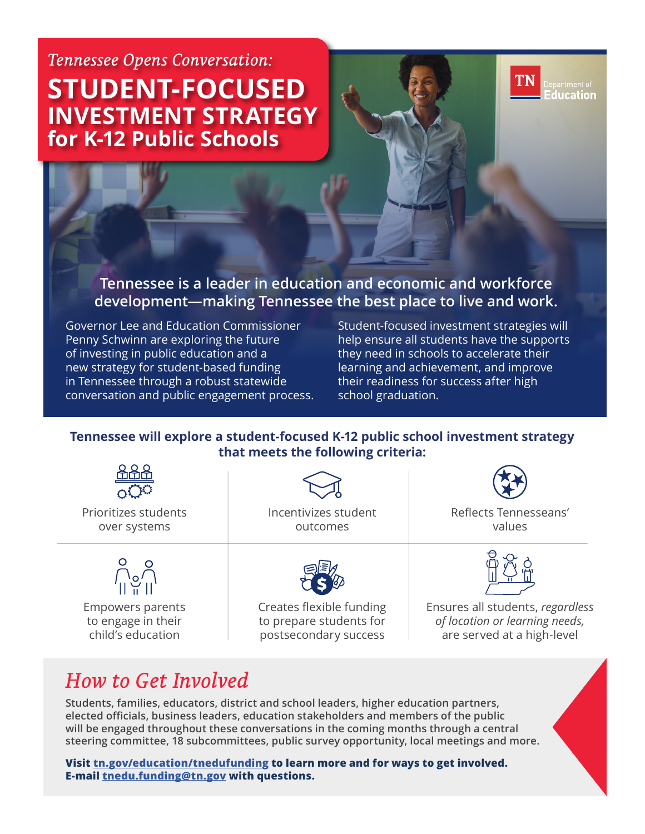# *Tennessee Opens Conversation:*  **STUDENT-FOCUSED INVESTMENT STRATEGY for K-12 Public Schools**

# **Tennessee is a leader in education and economic and workforce development—making Tennessee the best place to live and work.**

Governor Lee and Education Commissioner Penny Schwinn are exploring the future of investing in public education and a new strategy for student-based funding in Tennessee through a robust statewide conversation and public engagement process. Student-focused investment strategies will help ensure all students have the supports they need in schools to accelerate their learning and achievement, and improve their readiness for success after high school graduation.

# **Tennessee will explore a student-focused K-12 public school investment strategy that meets the following criteria:**



to engage in their child's education

to prepare students for postsecondary success

*of location or learning needs,*  are served at a high-level

**TN** 

epartment of<br>ducation

# *How to Get Involved*

**Students, families, educators, district and school leaders, higher education partners, elected officials, business leaders, education stakeholders and members of the public will be engaged throughout these conversations in the coming months through a central steering committee, 18 subcommittees, public survey opportunity, local meetings and more.** 

**Visit tn.gov/education/tnedufunding to learn more and for ways to get involved. E-mail tnedu.funding@tn.gov with questions.**